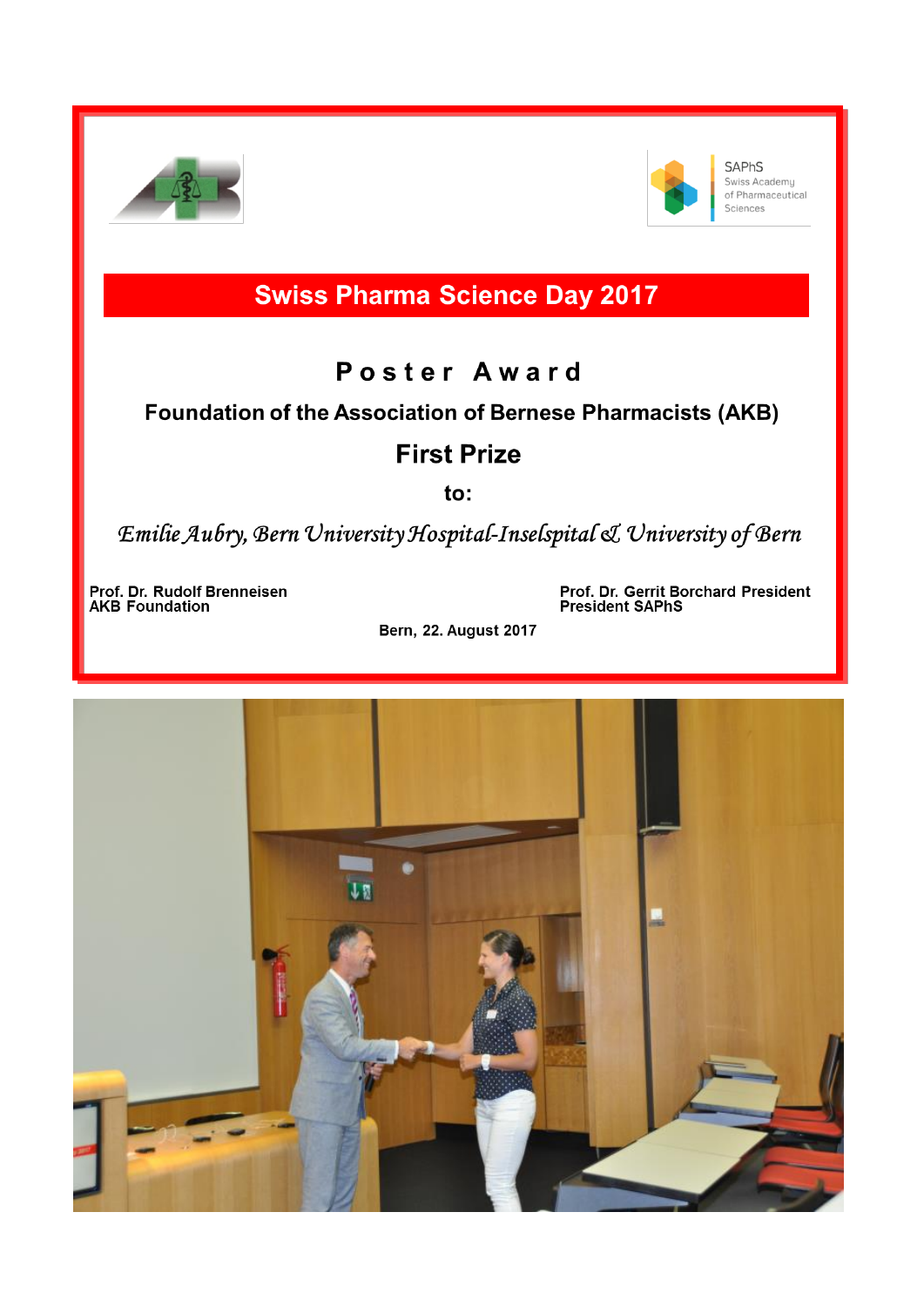



**SAPhS** Swiss Academy of Pharmaceutical Sciences

# **Swiss Pharma Science Day 2017**

## Poster Award

### Foundation of the Association of Bernese Pharmacists (AKB)

## **First Prize**

to:

Emilie Aubry, Bern University Hospital-Inselspital & University of Bern

Prof. Dr. Rudolf Brenneisen **AKB** Foundation

Prof. Dr. Gerrit Borchard President **President SAPhS** 

**Bern, 22. August 2017**